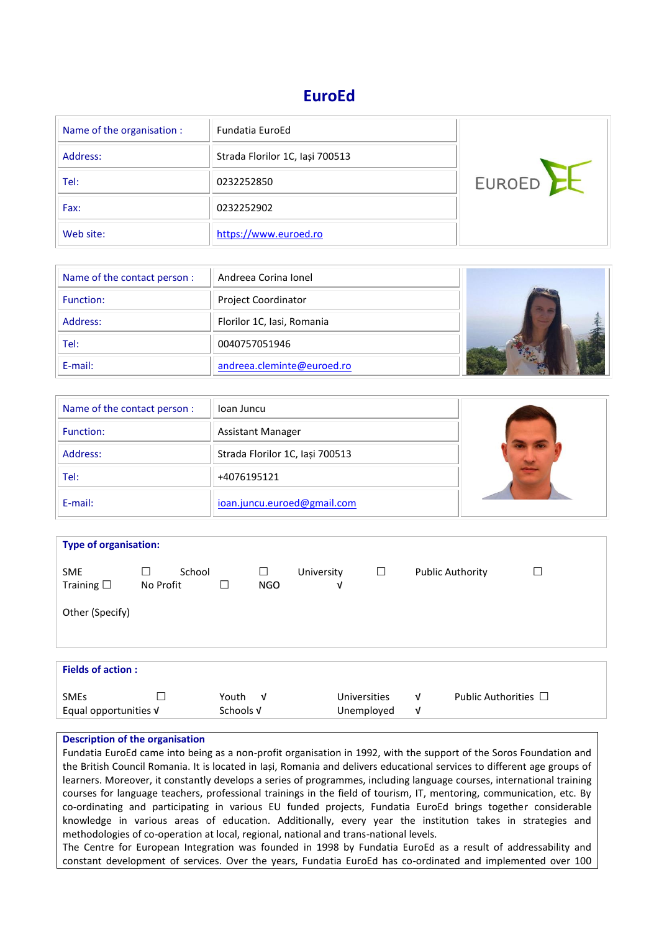# **EuroEd**

| Name of the organisation : | Fundatia EuroEd                 |           |  |
|----------------------------|---------------------------------|-----------|--|
| Address:                   | Strada Florilor 1C, Iași 700513 | EUROED EL |  |
| Tel:                       | 0232252850                      |           |  |
| Fax:                       | 0232252902                      |           |  |
| Web site:                  | https://www.euroed.ro           |           |  |

| Name of the contact person : | Andreea Corina Jonel       |  |
|------------------------------|----------------------------|--|
| Function:                    | Project Coordinator        |  |
| Address:                     | Florilor 1C, Iasi, Romania |  |
| Tel:                         | 0040757051946              |  |
| E-mail:                      | andreea.cleminte@euroed.ro |  |

| Name of the contact person : | loan Juncu                      |  |
|------------------------------|---------------------------------|--|
| Function:                    | <b>Assistant Manager</b>        |  |
| Address:                     | Strada Florilor 1C, Iași 700513 |  |
| Tel:                         | +4076195121                     |  |
| E-mail:                      | ioan.juncu.euroed@gmail.com     |  |

| <b>Type of organisation:</b>         |                |        |                    |                      |            |                            |        |        |                           |  |
|--------------------------------------|----------------|--------|--------------------|----------------------|------------|----------------------------|--------|--------|---------------------------|--|
| <b>SME</b><br>Training $\square$     | П<br>No Profit | School | $\Box$             | $\Box$<br><b>NGO</b> | University | ν                          | $\Box$ |        | <b>Public Authority</b>   |  |
| Other (Specify)                      |                |        |                    |                      |            |                            |        |        |                           |  |
|                                      |                |        |                    |                      |            |                            |        |        |                           |  |
| <b>Fields of action:</b>             |                |        |                    |                      |            |                            |        |        |                           |  |
| <b>SMEs</b><br>Equal opportunities V |                |        | Youth<br>Schools V | ิ่ง                  |            | Universities<br>Unemployed |        | V<br>V | Public Authorities $\Box$ |  |

#### **Description of the organisation**

Fundatia EuroEd came into being as a non-profit organisation in 1992, with the support of the Soros Foundation and the British Council Romania. It is located in Iași, Romania and delivers educational services to different age groups of learners. Moreover, it constantly develops a series of programmes, including language courses, international training courses for language teachers, professional trainings in the field of tourism, IT, mentoring, communication, etc. By co-ordinating and participating in various EU funded projects, Fundatia EuroEd brings together considerable knowledge in various areas of education. Additionally, every year the institution takes in strategies and methodologies of co-operation at local, regional, national and trans-national levels.

The Centre for European Integration was founded in 1998 by Fundatia EuroEd as a result of addressability and constant development of services. Over the years, Fundatia EuroEd has co-ordinated and implemented over 100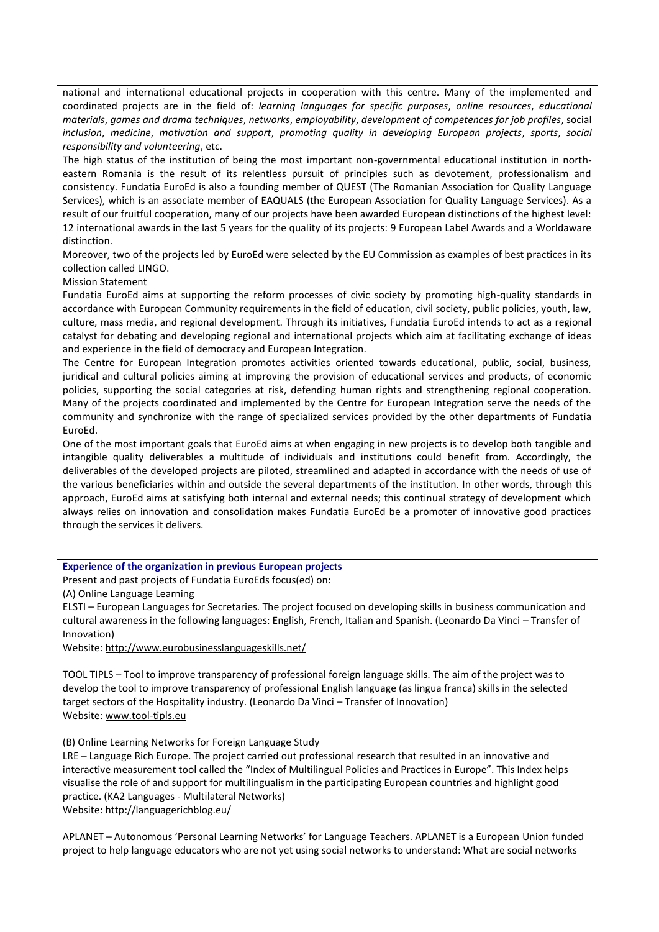national and international educational projects in cooperation with this centre. Many of the implemented and coordinated projects are in the field of: *learning languages for specific purposes*, *online resources*, *educational materials*, *games and drama techniques*, *networks*, *employability*, *development of competences for job profiles*, social *inclusion*, *medicine*, *motivation and support*, *promoting quality in developing European projects*, *sports*, *social responsibility and volunteering*, etc.

The high status of the institution of being the most important non-governmental educational institution in northeastern Romania is the result of its relentless pursuit of principles such as devotement, professionalism and consistency. Fundatia EuroEd is also a founding member of QUEST (The Romanian Association for Quality Language Services), which is an associate member of EAQUALS (the European Association for Quality Language Services). As a result of our fruitful cooperation, many of our projects have been awarded European distinctions of the highest level: 12 international awards in the last 5 years for the quality of its projects: 9 European Label Awards and a Worldaware distinction.

Moreover, two of the projects led by EuroEd were selected by the EU Commission as examples of best practices in its collection called LINGO.

Mission Statement

Fundatia EuroEd aims at supporting the reform processes of civic society by promoting high-quality standards in accordance with European Community requirements in the field of education, civil society, public policies, youth, law, culture, mass media, and regional development. Through its initiatives, Fundatia EuroEd intends to act as a regional catalyst for debating and developing regional and international projects which aim at facilitating exchange of ideas and experience in the field of democracy and European Integration.

The Centre for European Integration promotes activities oriented towards educational, public, social, business, juridical and cultural policies aiming at improving the provision of educational services and products, of economic policies, supporting the social categories at risk, defending human rights and strengthening regional cooperation. Many of the projects coordinated and implemented by the Centre for European Integration serve the needs of the community and synchronize with the range of specialized services provided by the other departments of Fundatia EuroEd.

One of the most important goals that EuroEd aims at when engaging in new projects is to develop both tangible and intangible quality deliverables a multitude of individuals and institutions could benefit from. Accordingly, the deliverables of the developed projects are piloted, streamlined and adapted in accordance with the needs of use of the various beneficiaries within and outside the several departments of the institution. In other words, through this approach, EuroEd aims at satisfying both internal and external needs; this continual strategy of development which always relies on innovation and consolidation makes Fundatia EuroEd be a promoter of innovative good practices through the services it delivers.

**Experience of the organization in previous European projects** 

Present and past projects of Fundatia EuroEds focus(ed) on:

(A) Online Language Learning

ELSTI – European Languages for Secretaries. The project focused on developing skills in business communication and cultural awareness in the following languages: English, French, Italian and Spanish. (Leonardo Da Vinci – Transfer of Innovation)

Website:<http://www.eurobusinesslanguageskills.net/>

TOOL TIPLS – Tool to improve transparency of professional foreign language skills. The aim of the project was to develop the tool to improve transparency of professional English language (as lingua franca) skills in the selected target sectors of the Hospitality industry. (Leonardo Da Vinci – Transfer of Innovation) Website: [www.tool-tipls.eu](http://www.tool-tipls.eu/)

(B) Online Learning Networks for Foreign Language Study

LRE – Language Rich Europe. The project carried out professional research that resulted in an innovative and interactive measurement tool called the "Index of Multilingual Policies and Practices in Europe". This Index helps visualise the role of and support for multilingualism in the participating European countries and highlight good practice. (KA2 Languages - Multilateral Networks)

Website:<http://languagerichblog.eu/>

APLANET – Autonomous 'Personal Learning Networks' for Language Teachers. APLANET is a European Union funded project to help language educators who are not yet using social networks to understand: What are social networks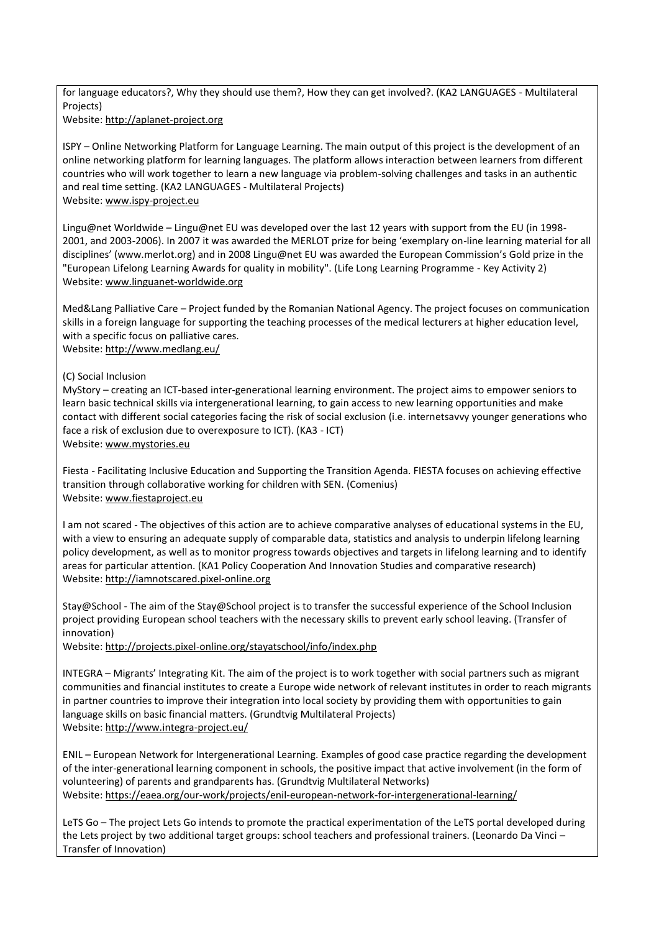for language educators?, Why they should use them?, How they can get involved?. (KA2 LANGUAGES - Multilateral Projects)

Website: [http://aplanet-project.org](http://aplanet-project.org/) 

ISPY – Online Networking Platform for Language Learning. The main output of this project is the development of an online networking platform for learning languages. The platform allows interaction between learners from different countries who will work together to learn a new language via problem-solving challenges and tasks in an authentic and real time setting. (KA2 LANGUAGES - Multilateral Projects) Website: [www.ispy-project.eu](http://www.ispy-project.eu/)

Lingu@net Worldwide – Lingu@net EU was developed over the last 12 years with support from the EU (in 1998- 2001, and 2003-2006). In 2007 it was awarded the MERLOT prize for being 'exemplary on-line learning material for all disciplines' (www.merlot.org) and in 2008 Lingu@net EU was awarded the European Commission's Gold prize in the "European Lifelong Learning Awards for quality in mobility". (Life Long Learning Programme - Key Activity 2) Website: [www.linguanet-worldwide.org](http://www.linguanet-worldwide.org/) 

Med&Lang Palliative Care – Project funded by the Romanian National Agency. The project focuses on communication skills in a foreign language for supporting the teaching processes of the medical lecturers at higher education level, with a specific focus on palliative cares. Website:<http://www.medlang.eu/>

(C) Social Inclusion

MyStory – creating an ICT-based inter-generational learning environment. The project aims to empower seniors to learn basic technical skills via intergenerational learning, to gain access to new learning opportunities and make contact with different social categories facing the risk of social exclusion (i.e. internetsavvy younger generations who face a risk of exclusion due to overexposure to ICT). (KA3 - ICT) Website: [www.mystories.eu](http://www.mystories.eu/)

Fiesta - Facilitating Inclusive Education and Supporting the Transition Agenda. FIESTA focuses on achieving effective transition through collaborative working for children with SEN. (Comenius) Website: [www.fiestaproject.eu](http://www.fiestaproject.eu/) 

I am not scared - The objectives of this action are to achieve comparative analyses of educational systems in the EU, with a view to ensuring an adequate supply of comparable data, statistics and analysis to underpin lifelong learning policy development, as well as to monitor progress towards objectives and targets in lifelong learning and to identify areas for particular attention. (KA1 Policy Cooperation And Innovation Studies and comparative research) Website: [http://iamnotscared.pixel-online.org](http://iamnotscared.pixel-online.org/) 

Stay@School - The aim of the Stay@School project is to transfer the successful experience of the School Inclusion project providing European school teachers with the necessary skills to prevent early school leaving. (Transfer of innovation)

Website:<http://projects.pixel-online.org/stayatschool/info/index.php>

INTEGRA – Migrants' Integrating Kit. The aim of the project is to work together with social partners such as migrant communities and financial institutes to create a Europe wide network of relevant institutes in order to reach migrants in partner countries to improve their integration into local society by providing them with opportunities to gain language skills on basic financial matters. (Grundtvig Multilateral Projects) Website:<http://www.integra-project.eu/>

ENIL – European Network for Intergenerational Learning. Examples of good case practice regarding the development of the inter-generational learning component in schools, the positive impact that active involvement (in the form of volunteering) of parents and grandparents has. (Grundtvig Multilateral Networks) Website:<https://eaea.org/our-work/projects/enil-european-network-for-intergenerational-learning/>

LeTS Go – The project Lets Go intends to promote the practical experimentation of the LeTS portal developed during the Lets project by two additional target groups: school teachers and professional trainers. (Leonardo Da Vinci – Transfer of Innovation)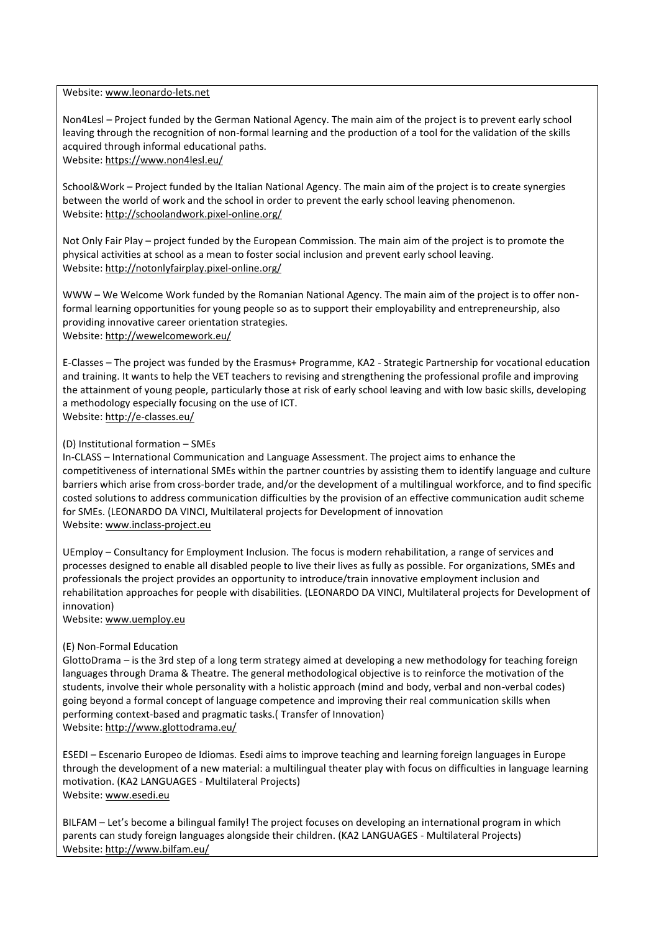Website: [www.leonardo-lets.net](http://www.leonardo-lets.net/) 

Non4Lesl – Project funded by the German National Agency. The main aim of the project is to prevent early school leaving through the recognition of non-formal learning and the production of a tool for the validation of the skills acquired through informal educational paths.

Website:<https://www.non4lesl.eu/>

School&Work – Project funded by the Italian National Agency. The main aim of the project is to create synergies between the world of work and the school in order to prevent the early school leaving phenomenon. Website:<http://schoolandwork.pixel-online.org/>

Not Only Fair Play – project funded by the European Commission. The main aim of the project is to promote the physical activities at school as a mean to foster social inclusion and prevent early school leaving. Website:<http://notonlyfairplay.pixel-online.org/>

WWW – We Welcome Work funded by the Romanian National Agency. The main aim of the project is to offer nonformal learning opportunities for young people so as to support their employability and entrepreneurship, also providing innovative career orientation strategies. Website:<http://wewelcomework.eu/>

E-Classes – The project was funded by the Erasmus+ Programme, KA2 - Strategic Partnership for vocational education and training. It wants to help the VET teachers to revising and strengthening the professional profile and improving the attainment of young people, particularly those at risk of early school leaving and with low basic skills, developing a methodology especially focusing on the use of ICT. Website:<http://e-classes.eu/>

## (D) Institutional formation – SMEs

In-CLASS – International Communication and Language Assessment. The project aims to enhance the competitiveness of international SMEs within the partner countries by assisting them to identify language and culture barriers which arise from cross-border trade, and/or the development of a multilingual workforce, and to find specific costed solutions to address communication difficulties by the provision of an effective communication audit scheme for SMEs. (LEONARDO DA VINCI, Multilateral projects for Development of innovation Website: [www.inclass-project.eu](http://www.inclass-project.eu/) 

UEmploy – Consultancy for Employment Inclusion. The focus is modern rehabilitation, a range of services and processes designed to enable all disabled people to live their lives as fully as possible. For organizations, SMEs and professionals the project provides an opportunity to introduce/train innovative employment inclusion and rehabilitation approaches for people with disabilities. (LEONARDO DA VINCI, Multilateral projects for Development of innovation)

Website: [www.uemploy.eu](http://www.uemploy.eu/) 

#### (E) Non-Formal Education

GlottoDrama – is the 3rd step of a long term strategy aimed at developing a new methodology for teaching foreign languages through Drama & Theatre. The general methodological objective is to reinforce the motivation of the students, involve their whole personality with a holistic approach (mind and body, verbal and non-verbal codes) going beyond a formal concept of language competence and improving their real communication skills when performing context-based and pragmatic tasks.( Transfer of Innovation) Website:<http://www.glottodrama.eu/>

ESEDI – Escenario Europeo de Idiomas. Esedi aims to improve teaching and learning foreign languages in Europe through the development of a new material: a multilingual theater play with focus on difficulties in language learning motivation. (KA2 LANGUAGES - Multilateral Projects) Website: [www.esedi.eu](http://www.esedi.eu/)

BILFAM – Let's become a bilingual family! The project focuses on developing an international program in which parents can study foreign languages alongside their children. (KA2 LANGUAGES - Multilateral Projects) Website:<http://www.bilfam.eu/>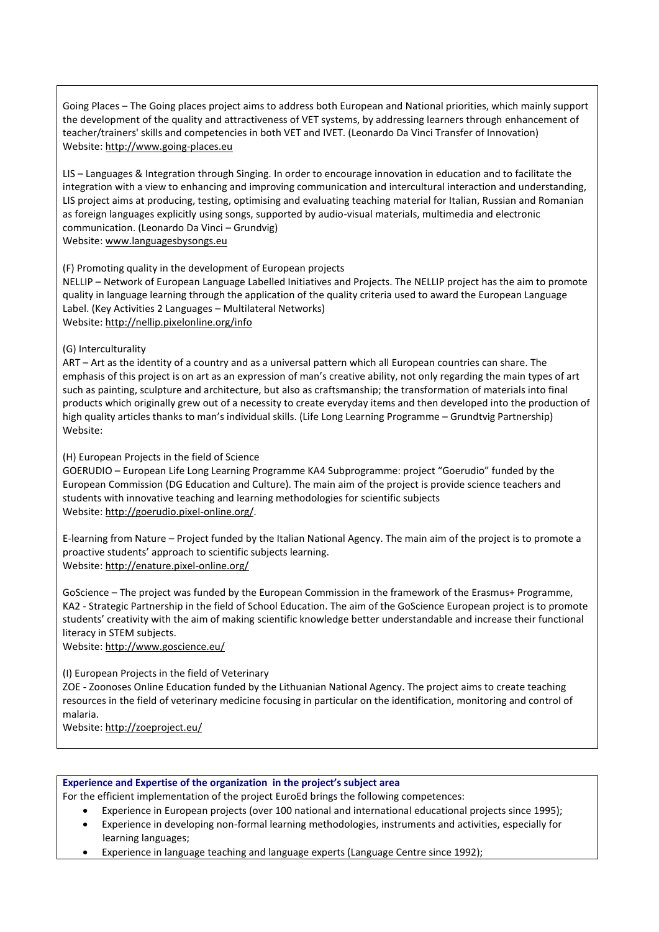Going Places – The Going places project aims to address both European and National priorities, which mainly support the development of the quality and attractiveness of VET systems, by addressing learners through enhancement of teacher/trainers' skills and competencies in both VET and IVET. (Leonardo Da Vinci Transfer of Innovation) Website: [http://www.going-places.eu](http://www.going-places.eu/) 

LIS – Languages & Integration through Singing. In order to encourage innovation in education and to facilitate the integration with a view to enhancing and improving communication and intercultural interaction and understanding, LIS project aims at producing, testing, optimising and evaluating teaching material for Italian, Russian and Romanian as foreign languages explicitly using songs, supported by audio-visual materials, multimedia and electronic communication. (Leonardo Da Vinci – Grundvig) Website: [www.languagesbysongs.eu](http://www.languagesbysongs.eu/) 

## (F) Promoting quality in the development of European projects

NELLIP – Network of European Language Labelled Initiatives and Projects. The NELLIP project has the aim to promote quality in language learning through the application of the quality criteria used to award the European Language Label. (Key Activities 2 Languages – Multilateral Networks) Website:<http://nellip.pixelonline.org/info>

(G) Interculturality

ART – Art as the identity of a country and as a universal pattern which all European countries can share. The emphasis of this project is on art as an expression of man's creative ability, not only regarding the main types of art such as painting, sculpture and architecture, but also as craftsmanship; the transformation of materials into final products which originally grew out of a necessity to create everyday items and then developed into the production of high quality articles thanks to man's individual skills. (Life Long Learning Programme – Grundtvig Partnership) Website:

## (H) European Projects in the field of Science

GOERUDIO – European Life Long Learning Programme KA4 Subprogramme: project "Goerudio" funded by the European Commission (DG Education and Culture). The main aim of the project is provide science teachers and students with innovative teaching and learning methodologies for scientific subjects Website: [http://goerudio.pixel-online.org/.](http://goerudio.pixel-online.org/) 

E-learning from Nature – Project funded by the Italian National Agency. The main aim of the project is to promote a proactive students' approach to scientific subjects learning. Website:<http://enature.pixel-online.org/>

GoScience – The project was funded by the European Commission in the framework of the Erasmus+ Programme, KA2 - Strategic Partnership in the field of School Education. The aim of the GoScience European project is to promote students' creativity with the aim of making scientific knowledge better understandable and increase their functional literacy in STEM subjects.

Website:<http://www.goscience.eu/>

## (I) European Projects in the field of Veterinary

ZOE - Zoonoses Online Education funded by the Lithuanian National Agency. The project aims to create teaching resources in the field of veterinary medicine focusing in particular on the identification, monitoring and control of malaria.

Website:<http://zoeproject.eu/>

## **Experience and Expertise of the organization in the project's subject area**

For the efficient implementation of the project EuroEd brings the following competences:

- Experience in European projects (over 100 national and international educational projects since 1995);
- Experience in developing non-formal learning methodologies, instruments and activities, especially for learning languages;
- Experience in language teaching and language experts (Language Centre since 1992);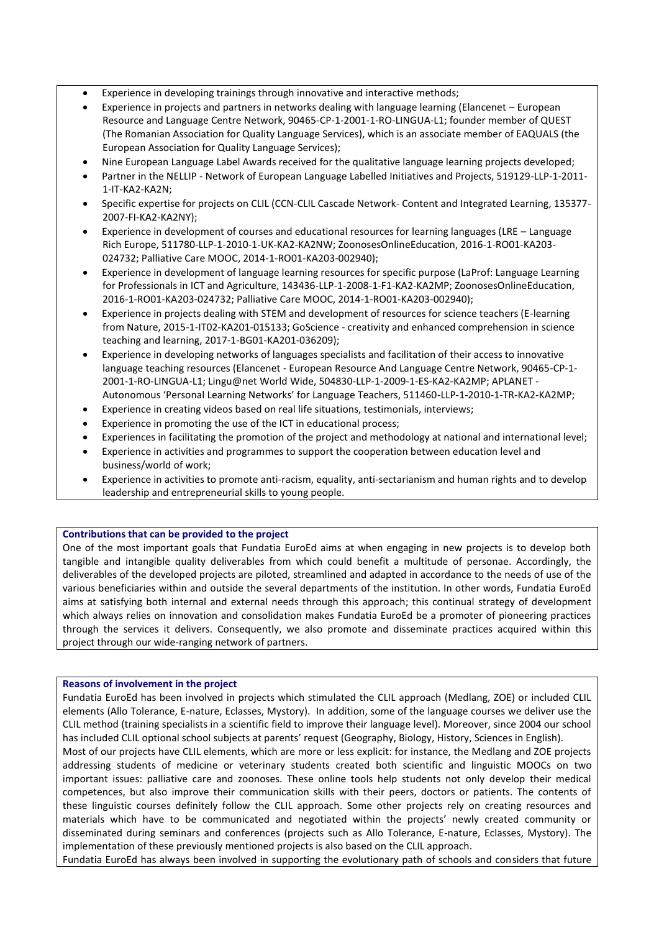- Experience in developing trainings through innovative and interactive methods;
- Experience in projects and partners in networks dealing with language learning (Elancenet European Resource and Language Centre Network, 90465-CP-1-2001-1-RO-LINGUA-L1; founder member of QUEST (The Romanian Association for Quality Language Services), which is an associate member of EAQUALS (the European Association for Quality Language Services);
- Nine European Language Label Awards received for the qualitative language learning projects developed;
- Partner in the NELLIP Network of European Language Labelled Initiatives and Projects, 519129-LLP-1-2011- 1-IT-KA2-KA2N;
- Specific expertise for projects on CLIL (CCN-CLIL Cascade Network- Content and Integrated Learning, 135377- 2007-FI-KA2-KA2NY);
- Experience in development of courses and educational resources for learning languages (LRE Language Rich Europe, 511780-LLP-1-2010-1-UK-KA2-KA2NW; ZoonosesOnlineEducation, 2016-1-RO01-KA203- 024732; Palliative Care MOOC, 2014-1-RO01-KA203-002940);
- Experience in development of language learning resources for specific purpose (LaProf: Language Learning for Professionals in ICT and Agriculture, 143436-LLP-1-2008-1-F1-KA2-KA2MP; ZoonosesOnlineEducation, 2016-1-RO01-KA203-024732; Palliative Care MOOC, 2014-1-RO01-KA203-002940);
- Experience in projects dealing with STEM and development of resources for science teachers (E-learning from Nature, 2015-1-IT02-KA201-015133; GoScience - creativity and enhanced comprehension in science teaching and learning, 2017-1-BG01-KA201-036209);
- Experience in developing networks of languages specialists and facilitation of their access to innovative language teaching resources (Elancenet - European Resource And Language Centre Network, 90465-CP-1- 2001-1-RO-LINGUA-L1; Lingu@net World Wide, 504830-LLP-1-2009-1-ES-KA2-KA2MP; APLANET - Autonomous 'Personal Learning Networks' for Language Teachers, 511460-LLP-1-2010-1-TR-KA2-KA2MP;
- Experience in creating videos based on real life situations, testimonials, interviews;
- Experience in promoting the use of the ICT in educational process;
- Experiences in facilitating the promotion of the project and methodology at national and international level;
- Experience in activities and programmes to support the cooperation between education level and business/world of work;
- Experience in activities to promote anti-racism, equality, anti-sectarianism and human rights and to develop leadership and entrepreneurial skills to young people.

#### **Contributions that can be provided to the project**

One of the most important goals that Fundatia EuroEd aims at when engaging in new projects is to develop both tangible and intangible quality deliverables from which could benefit a multitude of personae. Accordingly, the deliverables of the developed projects are piloted, streamlined and adapted in accordance to the needs of use of the various beneficiaries within and outside the several departments of the institution. In other words, Fundatia EuroEd aims at satisfying both internal and external needs through this approach; this continual strategy of development which always relies on innovation and consolidation makes Fundatia EuroEd be a promoter of pioneering practices through the services it delivers. Consequently, we also promote and disseminate practices acquired within this project through our wide-ranging network of partners.

#### **Reasons of involvement in the project**

Fundatia EuroEd has been involved in projects which stimulated the CLIL approach (Medlang, ZOE) or included CLIL elements (Allo Tolerance, E-nature, Eclasses, Mystory). In addition, some of the language courses we deliver use the CLIL method (training specialists in a scientific field to improve their language level). Moreover, since 2004 our school has included CLIL optional school subjects at parents' request (Geography, Biology, History, Sciences in English).

Most of our projects have CLIL elements, which are more or less explicit: for instance, the Medlang and ZOE projects addressing students of medicine or veterinary students created both scientific and linguistic MOOCs on two important issues: palliative care and zoonoses. These online tools help students not only develop their medical competences, but also improve their communication skills with their peers, doctors or patients. The contents of these linguistic courses definitely follow the CLIL approach. Some other projects rely on creating resources and materials which have to be communicated and negotiated within the projects' newly created community or disseminated during seminars and conferences (projects such as Allo Tolerance, E-nature, Eclasses, Mystory). The implementation of these previously mentioned projects is also based on the CLIL approach.

Fundatia EuroEd has always been involved in supporting the evolutionary path of schools and considers that future